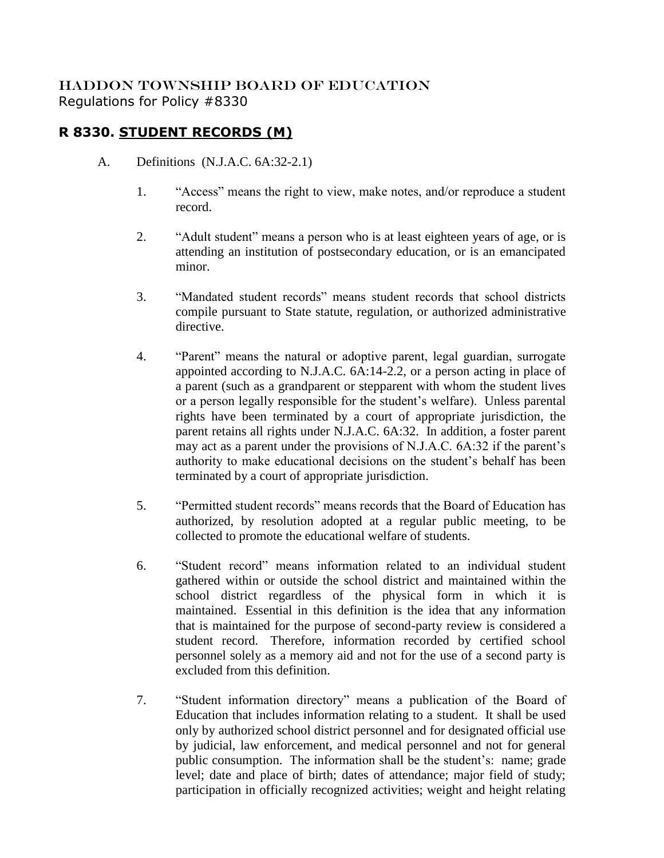## HADDON TOWNSHIP BOARD OF EDUCATION Regulations for Policy #8330

## **R 8330. STUDENT RECORDS (M)**

- A. Definitions (N.J.A.C. 6A:32-2.1)
	- 1. "Access" means the right to view, make notes, and/or reproduce a student record.
	- 2. "Adult student" means a person who is at least eighteen years of age, or is attending an institution of postsecondary education, or is an emancipated minor.
	- 3. "Mandated student records" means student records that school districts compile pursuant to State statute, regulation, or authorized administrative directive.
	- 4. "Parent" means the natural or adoptive parent, legal guardian, surrogate appointed according to N.J.A.C. 6A:14-2.2, or a person acting in place of a parent (such as a grandparent or stepparent with whom the student lives or a person legally responsible for the student's welfare). Unless parental rights have been terminated by a court of appropriate jurisdiction, the parent retains all rights under N.J.A.C. 6A:32. In addition, a foster parent may act as a parent under the provisions of N.J.A.C. 6A:32 if the parent's authority to make educational decisions on the student's behalf has been terminated by a court of appropriate jurisdiction.
	- 5. "Permitted student records" means records that the Board of Education has authorized, by resolution adopted at a regular public meeting, to be collected to promote the educational welfare of students.
	- 6. "Student record" means information related to an individual student gathered within or outside the school district and maintained within the school district regardless of the physical form in which it is maintained. Essential in this definition is the idea that any information that is maintained for the purpose of second-party review is considered a student record. Therefore, information recorded by certified school personnel solely as a memory aid and not for the use of a second party is excluded from this definition.
	- 7. "Student information directory" means a publication of the Board of Education that includes information relating to a student. It shall be used only by authorized school district personnel and for designated official use by judicial, law enforcement, and medical personnel and not for general public consumption. The information shall be the student's: name; grade level; date and place of birth; dates of attendance; major field of study; participation in officially recognized activities; weight and height relating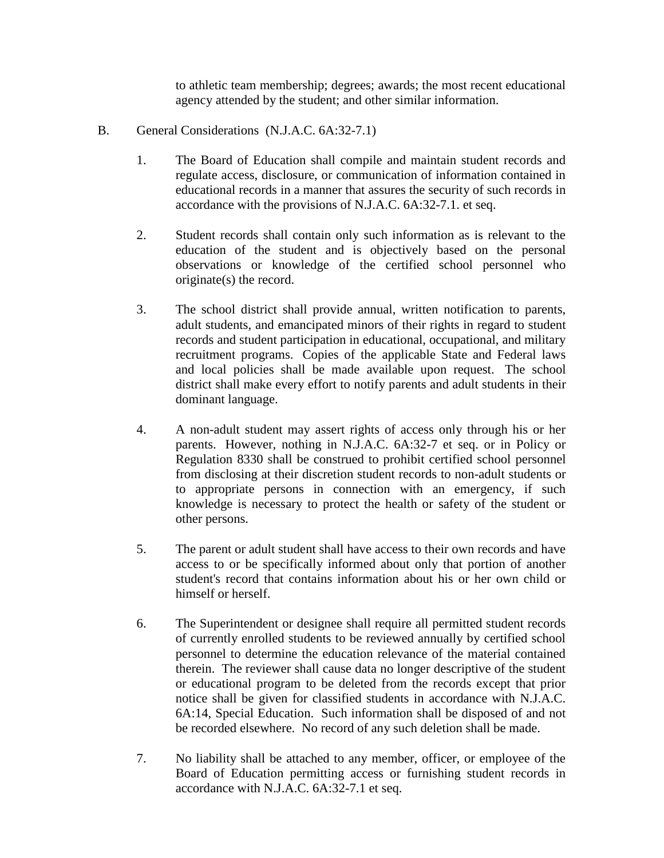to athletic team membership; degrees; awards; the most recent educational agency attended by the student; and other similar information.

- B. General Considerations (N.J.A.C. 6A:32-7.1)
	- 1. The Board of Education shall compile and maintain student records and regulate access, disclosure, or communication of information contained in educational records in a manner that assures the security of such records in accordance with the provisions of N.J.A.C. 6A:32-7.1. et seq.
	- 2. Student records shall contain only such information as is relevant to the education of the student and is objectively based on the personal observations or knowledge of the certified school personnel who originate(s) the record.
	- 3. The school district shall provide annual, written notification to parents, adult students, and emancipated minors of their rights in regard to student records and student participation in educational, occupational, and military recruitment programs. Copies of the applicable State and Federal laws and local policies shall be made available upon request. The school district shall make every effort to notify parents and adult students in their dominant language.
	- 4. A non-adult student may assert rights of access only through his or her parents. However, nothing in N.J.A.C. 6A:32-7 et seq. or in Policy or Regulation 8330 shall be construed to prohibit certified school personnel from disclosing at their discretion student records to non-adult students or to appropriate persons in connection with an emergency, if such knowledge is necessary to protect the health or safety of the student or other persons.
	- 5. The parent or adult student shall have access to their own records and have access to or be specifically informed about only that portion of another student's record that contains information about his or her own child or himself or herself.
	- 6. The Superintendent or designee shall require all permitted student records of currently enrolled students to be reviewed annually by certified school personnel to determine the education relevance of the material contained therein. The reviewer shall cause data no longer descriptive of the student or educational program to be deleted from the records except that prior notice shall be given for classified students in accordance with N.J.A.C. 6A:14, Special Education. Such information shall be disposed of and not be recorded elsewhere. No record of any such deletion shall be made.
	- 7. No liability shall be attached to any member, officer, or employee of the Board of Education permitting access or furnishing student records in accordance with N.J.A.C. 6A:32-7.1 et seq.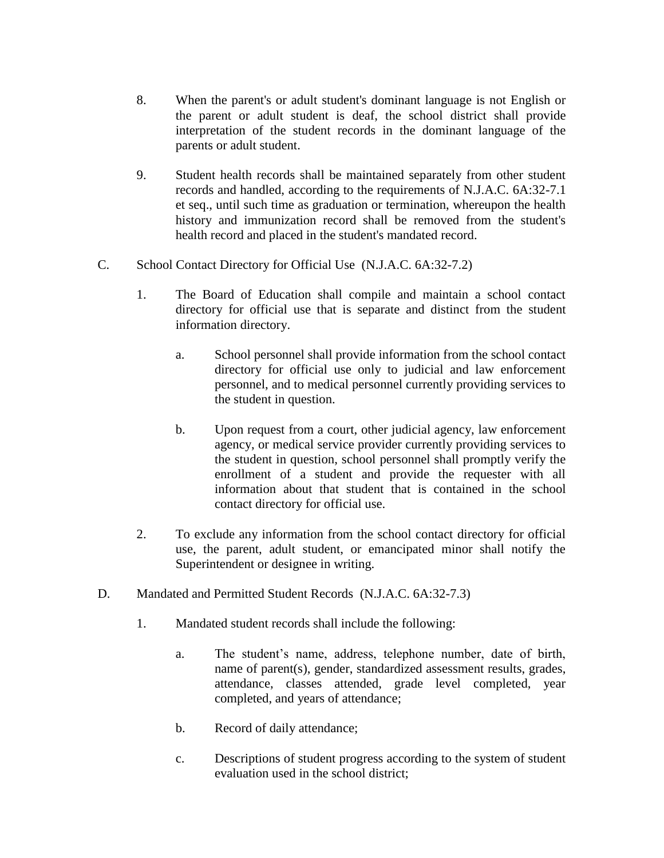- 8. When the parent's or adult student's dominant language is not English or the parent or adult student is deaf, the school district shall provide interpretation of the student records in the dominant language of the parents or adult student.
- 9. Student health records shall be maintained separately from other student records and handled, according to the requirements of N.J.A.C. 6A:32-7.1 et seq., until such time as graduation or termination, whereupon the health history and immunization record shall be removed from the student's health record and placed in the student's mandated record.
- C. School Contact Directory for Official Use (N.J.A.C. 6A:32-7.2)
	- 1. The Board of Education shall compile and maintain a school contact directory for official use that is separate and distinct from the student information directory.
		- a. School personnel shall provide information from the school contact directory for official use only to judicial and law enforcement personnel, and to medical personnel currently providing services to the student in question.
		- b. Upon request from a court, other judicial agency, law enforcement agency, or medical service provider currently providing services to the student in question, school personnel shall promptly verify the enrollment of a student and provide the requester with all information about that student that is contained in the school contact directory for official use.
	- 2. To exclude any information from the school contact directory for official use, the parent, adult student, or emancipated minor shall notify the Superintendent or designee in writing.
- D. Mandated and Permitted Student Records (N.J.A.C. 6A:32-7.3)
	- 1. Mandated student records shall include the following:
		- a. The student's name, address, telephone number, date of birth, name of parent(s), gender, standardized assessment results, grades, attendance, classes attended, grade level completed, year completed, and years of attendance;
		- b. Record of daily attendance;
		- c. Descriptions of student progress according to the system of student evaluation used in the school district;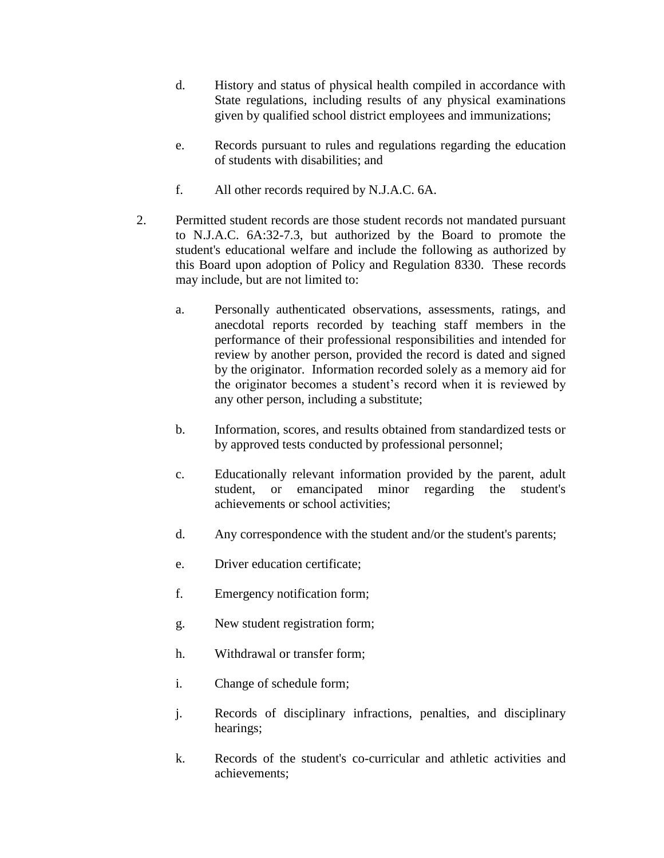- d. History and status of physical health compiled in accordance with State regulations, including results of any physical examinations given by qualified school district employees and immunizations;
- e. Records pursuant to rules and regulations regarding the education of students with disabilities; and
- f. All other records required by N.J.A.C. 6A.
- 2. Permitted student records are those student records not mandated pursuant to N.J.A.C. 6A:32-7.3, but authorized by the Board to promote the student's educational welfare and include the following as authorized by this Board upon adoption of Policy and Regulation 8330. These records may include, but are not limited to:
	- a. Personally authenticated observations, assessments, ratings, and anecdotal reports recorded by teaching staff members in the performance of their professional responsibilities and intended for review by another person, provided the record is dated and signed by the originator. Information recorded solely as a memory aid for the originator becomes a student's record when it is reviewed by any other person, including a substitute;
	- b. Information, scores, and results obtained from standardized tests or by approved tests conducted by professional personnel;
	- c. Educationally relevant information provided by the parent, adult student, or emancipated minor regarding the student's achievements or school activities;
	- d. Any correspondence with the student and/or the student's parents;
	- e. Driver education certificate;
	- f. Emergency notification form;
	- g. New student registration form;
	- h. Withdrawal or transfer form;
	- i. Change of schedule form;
	- j. Records of disciplinary infractions, penalties, and disciplinary hearings;
	- k. Records of the student's co-curricular and athletic activities and achievements;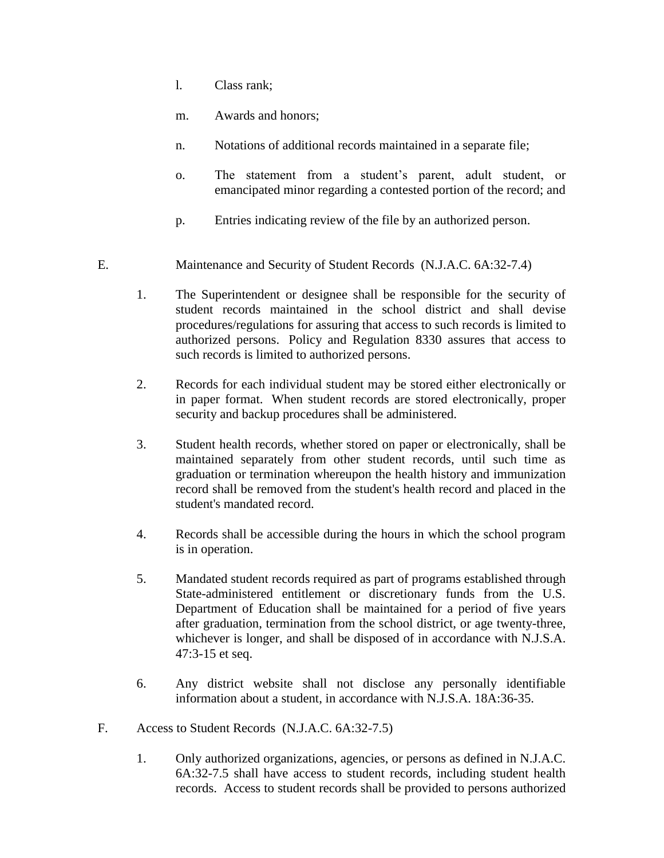- l. Class rank;
- m. Awards and honors;
- n. Notations of additional records maintained in a separate file;
- o. The statement from a student's parent, adult student, or emancipated minor regarding a contested portion of the record; and
- p. Entries indicating review of the file by an authorized person.
- E. Maintenance and Security of Student Records (N.J.A.C. 6A:32-7.4)
	- 1. The Superintendent or designee shall be responsible for the security of student records maintained in the school district and shall devise procedures/regulations for assuring that access to such records is limited to authorized persons. Policy and Regulation 8330 assures that access to such records is limited to authorized persons.
	- 2. Records for each individual student may be stored either electronically or in paper format. When student records are stored electronically, proper security and backup procedures shall be administered.
	- 3. Student health records, whether stored on paper or electronically, shall be maintained separately from other student records, until such time as graduation or termination whereupon the health history and immunization record shall be removed from the student's health record and placed in the student's mandated record.
	- 4. Records shall be accessible during the hours in which the school program is in operation.
	- 5. Mandated student records required as part of programs established through State-administered entitlement or discretionary funds from the U.S. Department of Education shall be maintained for a period of five years after graduation, termination from the school district, or age twenty-three, whichever is longer, and shall be disposed of in accordance with N.J.S.A. 47:3-15 et seq.
	- 6. Any district website shall not disclose any personally identifiable information about a student, in accordance with N.J.S.A. 18A:36-35.
- F. Access to Student Records (N.J.A.C. 6A:32-7.5)
	- 1. Only authorized organizations, agencies, or persons as defined in N.J.A.C. 6A:32-7.5 shall have access to student records, including student health records. Access to student records shall be provided to persons authorized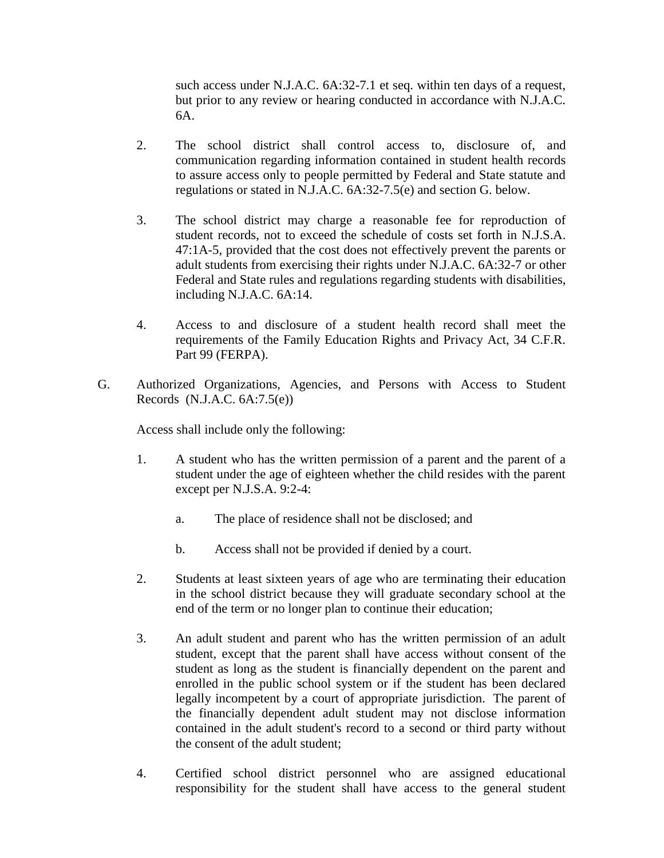such access under N.J.A.C. 6A:32-7.1 et seq. within ten days of a request, but prior to any review or hearing conducted in accordance with N.J.A.C. 6A.

- 2. The school district shall control access to, disclosure of, and communication regarding information contained in student health records to assure access only to people permitted by Federal and State statute and regulations or stated in N.J.A.C. 6A:32-7.5(e) and section G. below.
- 3. The school district may charge a reasonable fee for reproduction of student records, not to exceed the schedule of costs set forth in N.J.S.A. 47:1A-5, provided that the cost does not effectively prevent the parents or adult students from exercising their rights under N.J.A.C. 6A:32-7 or other Federal and State rules and regulations regarding students with disabilities, including N.J.A.C. 6A:14.
- 4. Access to and disclosure of a student health record shall meet the requirements of the Family Education Rights and Privacy Act, 34 C.F.R. Part 99 (FERPA).
- G. Authorized Organizations, Agencies, and Persons with Access to Student Records (N.J.A.C. 6A:7.5(e))

Access shall include only the following:

- 1. A student who has the written permission of a parent and the parent of a student under the age of eighteen whether the child resides with the parent except per N.J.S.A. 9:2-4:
	- a. The place of residence shall not be disclosed; and
	- b. Access shall not be provided if denied by a court.
- 2. Students at least sixteen years of age who are terminating their education in the school district because they will graduate secondary school at the end of the term or no longer plan to continue their education;
- 3. An adult student and parent who has the written permission of an adult student, except that the parent shall have access without consent of the student as long as the student is financially dependent on the parent and enrolled in the public school system or if the student has been declared legally incompetent by a court of appropriate jurisdiction. The parent of the financially dependent adult student may not disclose information contained in the adult student's record to a second or third party without the consent of the adult student;
- 4. Certified school district personnel who are assigned educational responsibility for the student shall have access to the general student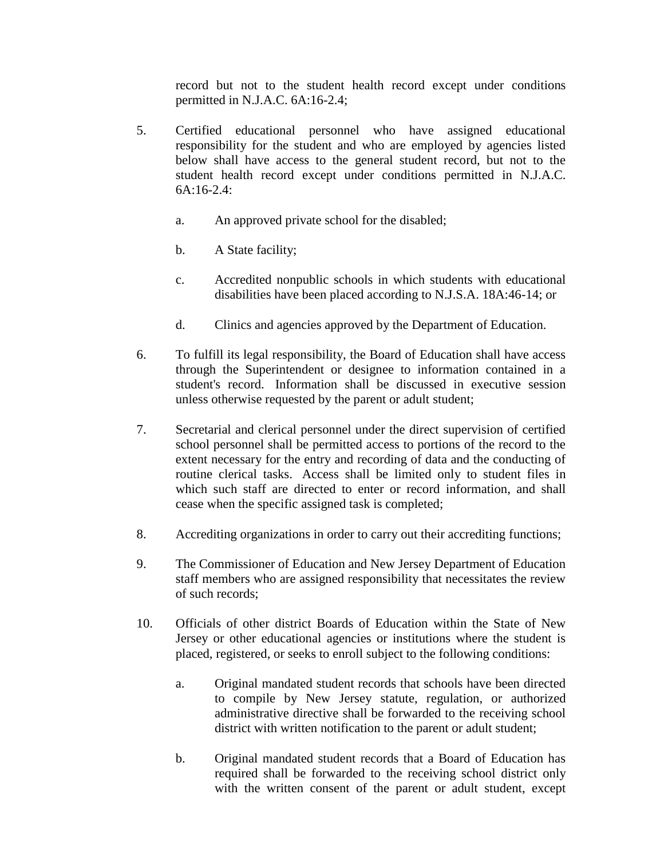record but not to the student health record except under conditions permitted in N.J.A.C. 6A:16-2.4;

- 5. Certified educational personnel who have assigned educational responsibility for the student and who are employed by agencies listed below shall have access to the general student record, but not to the student health record except under conditions permitted in N.J.A.C. 6A:16-2.4:
	- a. An approved private school for the disabled;
	- b. A State facility;
	- c. Accredited nonpublic schools in which students with educational disabilities have been placed according to N.J.S.A. 18A:46-14; or
	- d. Clinics and agencies approved by the Department of Education.
- 6. To fulfill its legal responsibility, the Board of Education shall have access through the Superintendent or designee to information contained in a student's record. Information shall be discussed in executive session unless otherwise requested by the parent or adult student;
- 7. Secretarial and clerical personnel under the direct supervision of certified school personnel shall be permitted access to portions of the record to the extent necessary for the entry and recording of data and the conducting of routine clerical tasks. Access shall be limited only to student files in which such staff are directed to enter or record information, and shall cease when the specific assigned task is completed;
- 8. Accrediting organizations in order to carry out their accrediting functions;
- 9. The Commissioner of Education and New Jersey Department of Education staff members who are assigned responsibility that necessitates the review of such records;
- 10. Officials of other district Boards of Education within the State of New Jersey or other educational agencies or institutions where the student is placed, registered, or seeks to enroll subject to the following conditions:
	- a. Original mandated student records that schools have been directed to compile by New Jersey statute, regulation, or authorized administrative directive shall be forwarded to the receiving school district with written notification to the parent or adult student;
	- b. Original mandated student records that a Board of Education has required shall be forwarded to the receiving school district only with the written consent of the parent or adult student, except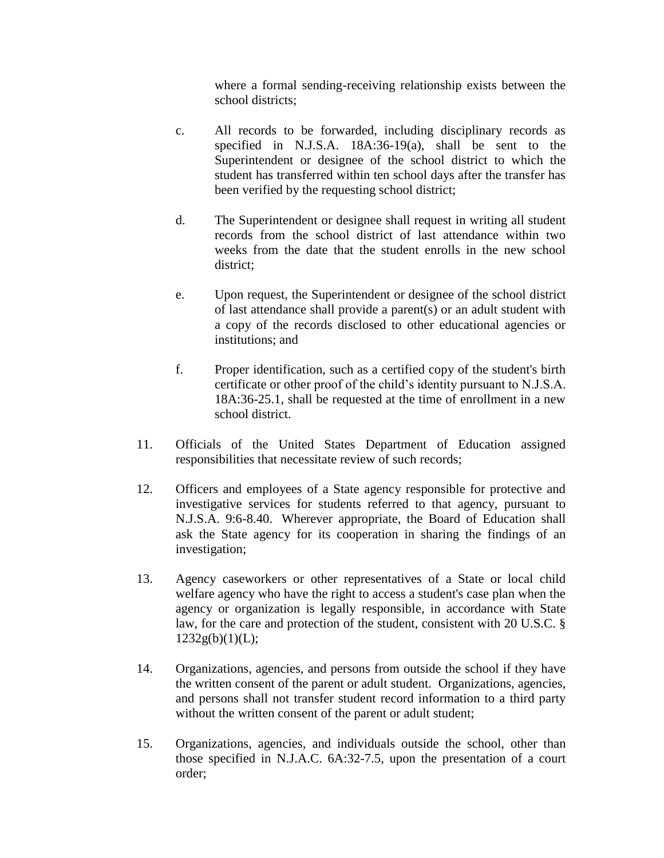where a formal sending-receiving relationship exists between the school districts;

- c. All records to be forwarded, including disciplinary records as specified in N.J.S.A. 18A:36-19(a), shall be sent to the Superintendent or designee of the school district to which the student has transferred within ten school days after the transfer has been verified by the requesting school district;
- d. The Superintendent or designee shall request in writing all student records from the school district of last attendance within two weeks from the date that the student enrolls in the new school district;
- e. Upon request, the Superintendent or designee of the school district of last attendance shall provide a parent(s) or an adult student with a copy of the records disclosed to other educational agencies or institutions; and
- f. Proper identification, such as a certified copy of the student's birth certificate or other proof of the child's identity pursuant to N.J.S.A. 18A:36-25.1, shall be requested at the time of enrollment in a new school district.
- 11. Officials of the United States Department of Education assigned responsibilities that necessitate review of such records;
- 12. Officers and employees of a State agency responsible for protective and investigative services for students referred to that agency, pursuant to N.J.S.A. 9:6-8.40. Wherever appropriate, the Board of Education shall ask the State agency for its cooperation in sharing the findings of an investigation;
- 13. Agency caseworkers or other representatives of a State or local child welfare agency who have the right to access a student's case plan when the agency or organization is legally responsible, in accordance with State law, for the care and protection of the student, consistent with 20 U.S.C. §  $1232g(b)(1)(L);$
- 14. Organizations, agencies, and persons from outside the school if they have the written consent of the parent or adult student. Organizations, agencies, and persons shall not transfer student record information to a third party without the written consent of the parent or adult student;
- 15. Organizations, agencies, and individuals outside the school, other than those specified in N.J.A.C. 6A:32-7.5, upon the presentation of a court order;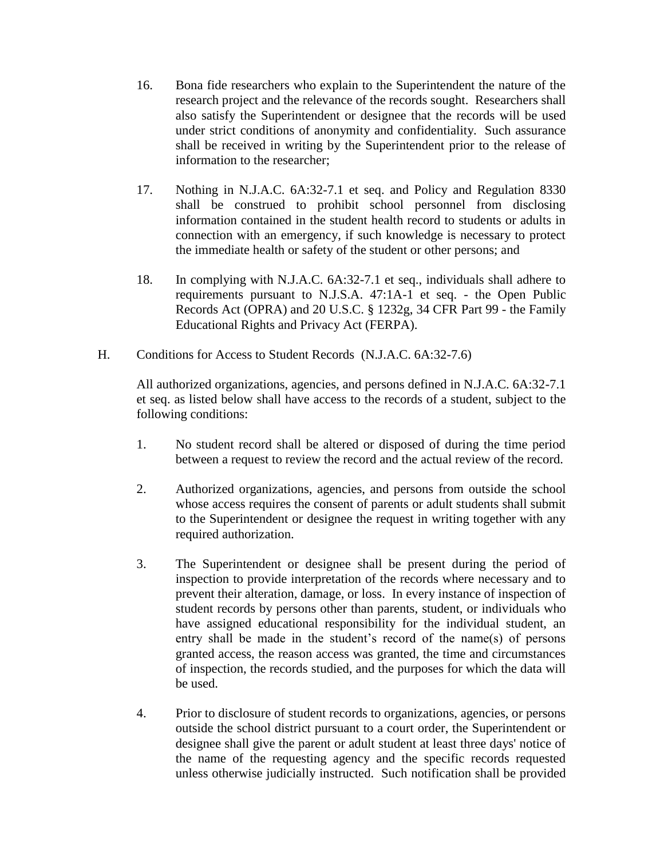- 16. Bona fide researchers who explain to the Superintendent the nature of the research project and the relevance of the records sought. Researchers shall also satisfy the Superintendent or designee that the records will be used under strict conditions of anonymity and confidentiality. Such assurance shall be received in writing by the Superintendent prior to the release of information to the researcher;
- 17. Nothing in N.J.A.C. 6A:32-7.1 et seq. and Policy and Regulation 8330 shall be construed to prohibit school personnel from disclosing information contained in the student health record to students or adults in connection with an emergency, if such knowledge is necessary to protect the immediate health or safety of the student or other persons; and
- 18. In complying with N.J.A.C. 6A:32-7.1 et seq., individuals shall adhere to requirements pursuant to N.J.S.A. 47:1A-1 et seq. - the Open Public Records Act (OPRA) and 20 U.S.C. § 1232g, 34 CFR Part 99 - the Family Educational Rights and Privacy Act (FERPA).
- H. Conditions for Access to Student Records (N.J.A.C. 6A:32-7.6)

All authorized organizations, agencies, and persons defined in N.J.A.C. 6A:32-7.1 et seq. as listed below shall have access to the records of a student, subject to the following conditions:

- 1. No student record shall be altered or disposed of during the time period between a request to review the record and the actual review of the record.
- 2. Authorized organizations, agencies, and persons from outside the school whose access requires the consent of parents or adult students shall submit to the Superintendent or designee the request in writing together with any required authorization.
- 3. The Superintendent or designee shall be present during the period of inspection to provide interpretation of the records where necessary and to prevent their alteration, damage, or loss. In every instance of inspection of student records by persons other than parents, student, or individuals who have assigned educational responsibility for the individual student, an entry shall be made in the student's record of the name(s) of persons granted access, the reason access was granted, the time and circumstances of inspection, the records studied, and the purposes for which the data will be used.
- 4. Prior to disclosure of student records to organizations, agencies, or persons outside the school district pursuant to a court order, the Superintendent or designee shall give the parent or adult student at least three days' notice of the name of the requesting agency and the specific records requested unless otherwise judicially instructed. Such notification shall be provided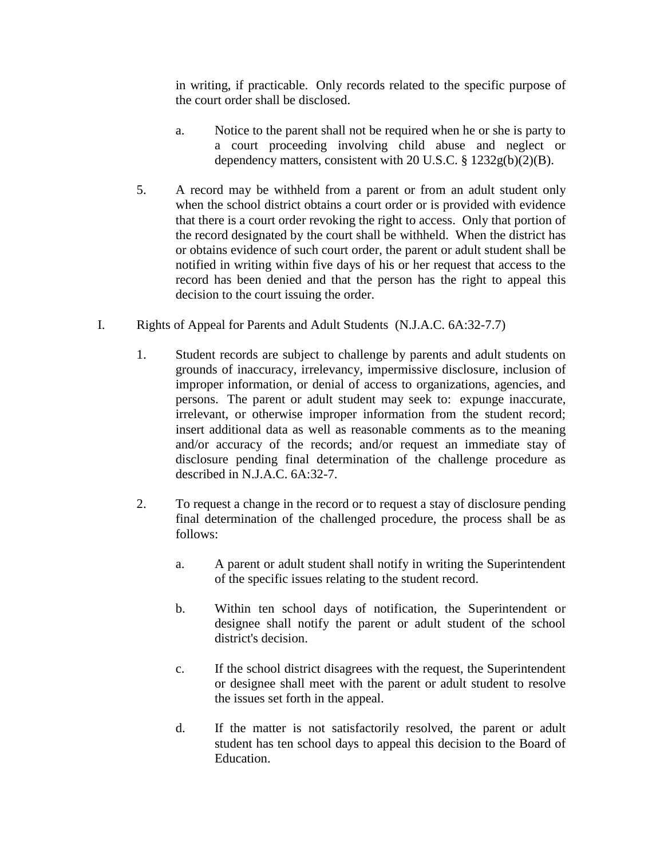in writing, if practicable. Only records related to the specific purpose of the court order shall be disclosed.

- a. Notice to the parent shall not be required when he or she is party to a court proceeding involving child abuse and neglect or dependency matters, consistent with 20 U.S.C. § 1232g(b)(2)(B).
- 5. A record may be withheld from a parent or from an adult student only when the school district obtains a court order or is provided with evidence that there is a court order revoking the right to access. Only that portion of the record designated by the court shall be withheld. When the district has or obtains evidence of such court order, the parent or adult student shall be notified in writing within five days of his or her request that access to the record has been denied and that the person has the right to appeal this decision to the court issuing the order.
- I. Rights of Appeal for Parents and Adult Students (N.J.A.C. 6A:32-7.7)
	- 1. Student records are subject to challenge by parents and adult students on grounds of inaccuracy, irrelevancy, impermissive disclosure, inclusion of improper information, or denial of access to organizations, agencies, and persons. The parent or adult student may seek to: expunge inaccurate, irrelevant, or otherwise improper information from the student record; insert additional data as well as reasonable comments as to the meaning and/or accuracy of the records; and/or request an immediate stay of disclosure pending final determination of the challenge procedure as described in N.J.A.C. 6A:32-7.
	- 2. To request a change in the record or to request a stay of disclosure pending final determination of the challenged procedure, the process shall be as follows:
		- a. A parent or adult student shall notify in writing the Superintendent of the specific issues relating to the student record.
		- b. Within ten school days of notification, the Superintendent or designee shall notify the parent or adult student of the school district's decision.
		- c. If the school district disagrees with the request, the Superintendent or designee shall meet with the parent or adult student to resolve the issues set forth in the appeal.
		- d. If the matter is not satisfactorily resolved, the parent or adult student has ten school days to appeal this decision to the Board of Education.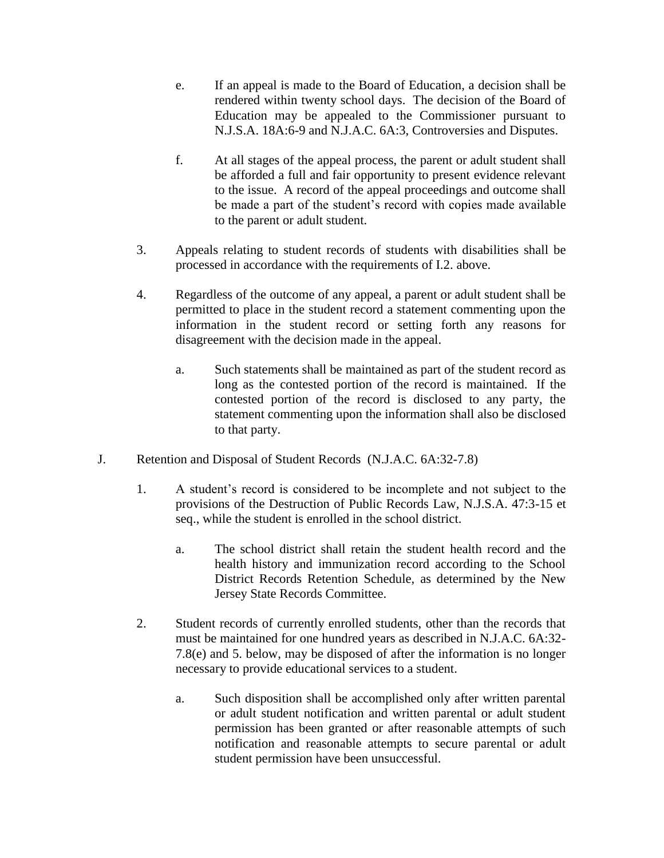- e. If an appeal is made to the Board of Education, a decision shall be rendered within twenty school days. The decision of the Board of Education may be appealed to the Commissioner pursuant to N.J.S.A. 18A:6-9 and N.J.A.C. 6A:3, Controversies and Disputes.
- f. At all stages of the appeal process, the parent or adult student shall be afforded a full and fair opportunity to present evidence relevant to the issue. A record of the appeal proceedings and outcome shall be made a part of the student's record with copies made available to the parent or adult student.
- 3. Appeals relating to student records of students with disabilities shall be processed in accordance with the requirements of I.2. above.
- 4. Regardless of the outcome of any appeal, a parent or adult student shall be permitted to place in the student record a statement commenting upon the information in the student record or setting forth any reasons for disagreement with the decision made in the appeal.
	- a. Such statements shall be maintained as part of the student record as long as the contested portion of the record is maintained. If the contested portion of the record is disclosed to any party, the statement commenting upon the information shall also be disclosed to that party.
- J. Retention and Disposal of Student Records (N.J.A.C. 6A:32-7.8)
	- 1. A student's record is considered to be incomplete and not subject to the provisions of the Destruction of Public Records Law, N.J.S.A. 47:3-15 et seq., while the student is enrolled in the school district.
		- a. The school district shall retain the student health record and the health history and immunization record according to the School District Records Retention Schedule, as determined by the New Jersey State Records Committee.
	- 2. Student records of currently enrolled students, other than the records that must be maintained for one hundred years as described in N.J.A.C. 6A:32- 7.8(e) and 5. below, may be disposed of after the information is no longer necessary to provide educational services to a student.
		- a. Such disposition shall be accomplished only after written parental or adult student notification and written parental or adult student permission has been granted or after reasonable attempts of such notification and reasonable attempts to secure parental or adult student permission have been unsuccessful.